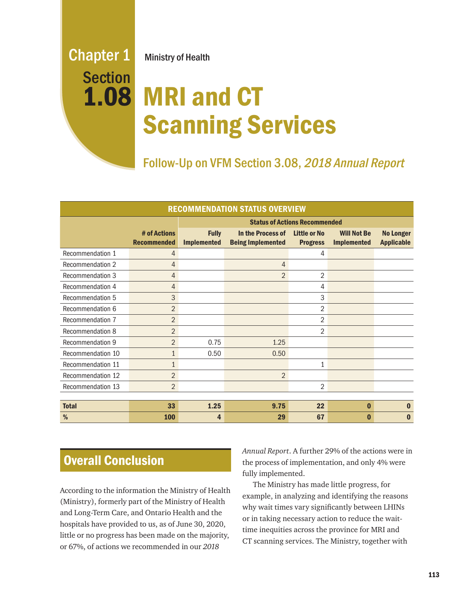## Chapter 1 Ministry of Health

Section

# MRI and CT Scanning Services 1.08

Follow-Up on VFM Section 3.08, 2018 Annual Report

| <b>RECOMMENDATION STATUS OVERVIEW</b> |                                    |                                      |                                               |                                        |                                          |                                       |
|---------------------------------------|------------------------------------|--------------------------------------|-----------------------------------------------|----------------------------------------|------------------------------------------|---------------------------------------|
|                                       |                                    | <b>Status of Actions Recommended</b> |                                               |                                        |                                          |                                       |
|                                       | # of Actions<br><b>Recommended</b> | <b>Fully</b><br><b>Implemented</b>   | In the Process of<br><b>Being Implemented</b> | <b>Little or No</b><br><b>Progress</b> | <b>Will Not Be</b><br><b>Implemented</b> | <b>No Longer</b><br><b>Applicable</b> |
| Recommendation 1                      | $\overline{4}$                     |                                      |                                               | 4                                      |                                          |                                       |
| <b>Recommendation 2</b>               | $\overline{4}$                     |                                      | $\overline{4}$                                |                                        |                                          |                                       |
| <b>Recommendation 3</b>               | $\overline{4}$                     |                                      | $\overline{2}$                                | $\overline{2}$                         |                                          |                                       |
| Recommendation 4                      | 4                                  |                                      |                                               | 4                                      |                                          |                                       |
| Recommendation 5                      | 3                                  |                                      |                                               | 3                                      |                                          |                                       |
| Recommendation 6                      | $\overline{2}$                     |                                      |                                               | 2                                      |                                          |                                       |
| Recommendation 7                      | $\overline{2}$                     |                                      |                                               | 2                                      |                                          |                                       |
| <b>Recommendation 8</b>               | $\overline{2}$                     |                                      |                                               | 2                                      |                                          |                                       |
| Recommendation 9                      | 2                                  | 0.75                                 | 1.25                                          |                                        |                                          |                                       |
| Recommendation 10                     | $\mathbf{1}$                       | 0.50                                 | 0.50                                          |                                        |                                          |                                       |
| Recommendation 11                     | $\mathbf{1}$                       |                                      |                                               | $\mathbf{1}$                           |                                          |                                       |
| Recommendation 12                     | 2                                  |                                      | $\overline{2}$                                |                                        |                                          |                                       |
| Recommendation 13                     | 2                                  |                                      |                                               | 2                                      |                                          |                                       |
|                                       |                                    |                                      |                                               |                                        |                                          |                                       |
| <b>Total</b>                          | 33                                 | 1.25                                 | 9.75                                          | 22                                     | $\bf{0}$                                 | O                                     |
| %                                     | <b>100</b>                         | 4                                    | 29                                            | 67                                     | 0                                        | $\Omega$                              |

## **Overall Conclusion**

According to the information the Ministry of Health (Ministry), formerly part of the Ministry of Health and Long-Term Care, and Ontario Health and the hospitals have provided to us, as of June 30, 2020, little or no progress has been made on the majority, or 67%, of actions we recommended in our *2018* 

*Annual Report*. A further 29% of the actions were in the process of implementation, and only 4% were fully implemented.

The Ministry has made little progress, for example, in analyzing and identifying the reasons why wait times vary significantly between LHINs or in taking necessary action to reduce the waittime inequities across the province for MRI and CT scanning services. The Ministry, together with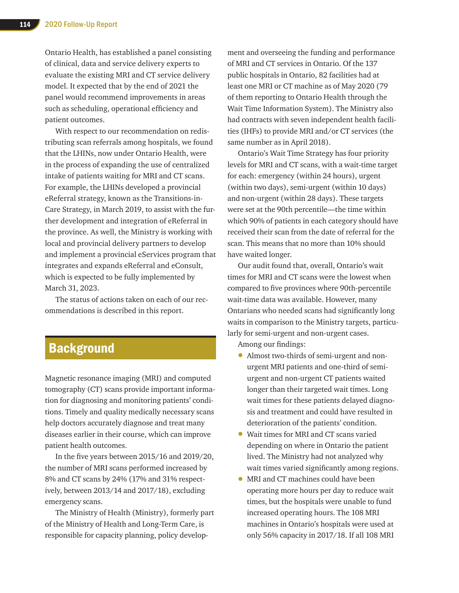Ontario Health, has established a panel consisting of clinical, data and service delivery experts to evaluate the existing MRI and CT service delivery model. It expected that by the end of 2021 the panel would recommend improvements in areas such as scheduling, operational efficiency and patient outcomes.

With respect to our recommendation on redistributing scan referrals among hospitals, we found that the LHINs, now under Ontario Health, were in the process of expanding the use of centralized intake of patients waiting for MRI and CT scans. For example, the LHINs developed a provincial eReferral strategy, known as the Transitions-in-Care Strategy, in March 2019, to assist with the further development and integration of eReferral in the province. As well, the Ministry is working with local and provincial delivery partners to develop and implement a provincial eServices program that integrates and expands eReferral and eConsult, which is expected to be fully implemented by March 31, 2023.

The status of actions taken on each of our recommendations is described in this report.

## **Background**

Magnetic resonance imaging (MRI) and computed tomography (CT) scans provide important information for diagnosing and monitoring patients' conditions. Timely and quality medically necessary scans help doctors accurately diagnose and treat many diseases earlier in their course, which can improve patient health outcomes.

In the five years between 2015/16 and 2019/20, the number of MRI scans performed increased by 8% and CT scans by 24% (17% and 31% respectively, between 2013/14 and 2017/18), excluding emergency scans.

The Ministry of Health (Ministry), formerly part of the Ministry of Health and Long-Term Care, is responsible for capacity planning, policy development and overseeing the funding and performance of MRI and CT services in Ontario. Of the 137 public hospitals in Ontario, 82 facilities had at least one MRI or CT machine as of May 2020 (79 of them reporting to Ontario Health through the Wait Time Information System). The Ministry also had contracts with seven independent health facilities (IHFs) to provide MRI and/or CT services (the same number as in April 2018).

Ontario's Wait Time Strategy has four priority levels for MRI and CT scans, with a wait-time target for each: emergency (within 24 hours), urgent (within two days), semi-urgent (within 10 days) and non-urgent (within 28 days). These targets were set at the 90th percentile—the time within which 90% of patients in each category should have received their scan from the date of referral for the scan. This means that no more than 10% should have waited longer.

Our audit found that, overall, Ontario's wait times for MRI and CT scans were the lowest when compared to five provinces where 90th-percentile wait-time data was available. However, many Ontarians who needed scans had significantly long waits in comparison to the Ministry targets, particularly for semi-urgent and non-urgent cases.

Among our findings:

- Almost two-thirds of semi-urgent and nonurgent MRI patients and one-third of semiurgent and non-urgent CT patients waited longer than their targeted wait times. Long wait times for these patients delayed diagnosis and treatment and could have resulted in deterioration of the patients' condition.
- Wait times for MRI and CT scans varied depending on where in Ontario the patient lived. The Ministry had not analyzed why wait times varied significantly among regions.
- MRI and CT machines could have been operating more hours per day to reduce wait times, but the hospitals were unable to fund increased operating hours. The 108 MRI machines in Ontario's hospitals were used at only 56% capacity in 2017/18. If all 108 MRI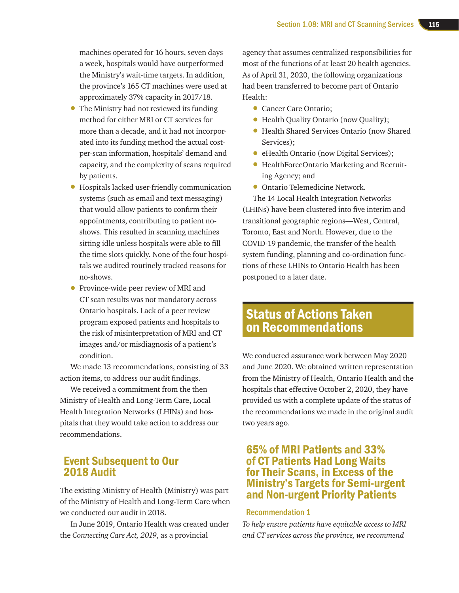machines operated for 16 hours, seven days a week, hospitals would have outperformed the Ministry's wait-time targets. In addition, the province's 165 CT machines were used at approximately 37% capacity in 2017/18.

- The Ministry had not reviewed its funding method for either MRI or CT services for more than a decade, and it had not incorporated into its funding method the actual costper-scan information, hospitals' demand and capacity, and the complexity of scans required by patients.
- Hospitals lacked user-friendly communication systems (such as email and text messaging) that would allow patients to confirm their appointments, contributing to patient noshows. This resulted in scanning machines sitting idle unless hospitals were able to fill the time slots quickly. None of the four hospitals we audited routinely tracked reasons for no-shows.
- Province-wide peer review of MRI and CT scan results was not mandatory across Ontario hospitals. Lack of a peer review program exposed patients and hospitals to the risk of misinterpretation of MRI and CT images and/or misdiagnosis of a patient's condition.

We made 13 recommendations, consisting of 33 action items, to address our audit findings.

We received a commitment from the then Ministry of Health and Long-Term Care, Local Health Integration Networks (LHINs) and hospitals that they would take action to address our recommendations.

## Event Subsequent to Our 2018 Audit

The existing Ministry of Health (Ministry) was part of the Ministry of Health and Long-Term Care when we conducted our audit in 2018.

In June 2019, Ontario Health was created under the *Connecting Care Act, 2019*, as a provincial

agency that assumes centralized responsibilities for most of the functions of at least 20 health agencies. As of April 31, 2020, the following organizations had been transferred to become part of Ontario Health:

- Cancer Care Ontario:
- Health Quality Ontario (now Quality);
- Health Shared Services Ontario (now Shared Services);
- eHealth Ontario (now Digital Services);
- HealthForceOntario Marketing and Recruiting Agency; and
- Ontario Telemedicine Network.

The 14 Local Health Integration Networks (LHINs) have been clustered into five interim and transitional geographic regions—West, Central, Toronto, East and North. However, due to the COVID-19 pandemic, the transfer of the health system funding, planning and co-ordination functions of these LHINs to Ontario Health has been postponed to a later date.

## Status of Actions Taken on Recommendations

We conducted assurance work between May 2020 and June 2020. We obtained written representation from the Ministry of Health, Ontario Health and the hospitals that effective October 2, 2020, they have provided us with a complete update of the status of the recommendations we made in the original audit two years ago.

## 65% of MRI Patients and 33% of CT Patients Had Long Waits for Their Scans, in Excess of the Ministry's Targets for Semi-urgent and Non-urgent Priority Patients

#### Recommendation 1

*To help ensure patients have equitable access to MRI and CT services across the province, we recommend*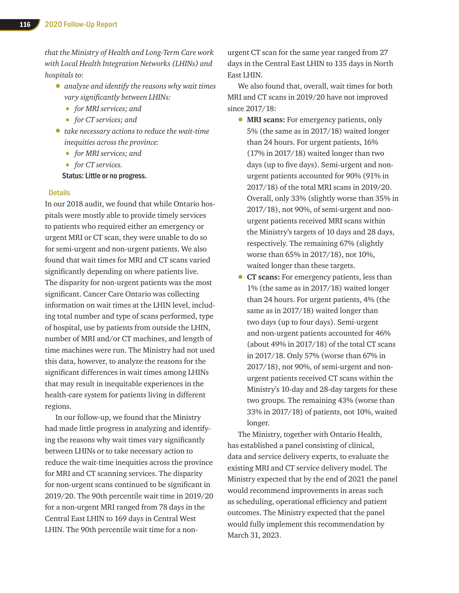*that the Ministry of Health and Long-Term Care work with Local Health Integration Networks (LHINs) and hospitals to:*

- *analyze and identify the reasons why wait times vary significantly between LHINs:*
	- *for MRI services; and*
	- *for CT services; and*
- *take necessary actions to reduce the wait-time inequities across the province:*
	- *for MRI services; and*
	- *for CT services.*

Status: Little or no progress.

#### **Details**

In our 2018 audit, we found that while Ontario hospitals were mostly able to provide timely services to patients who required either an emergency or urgent MRI or CT scan, they were unable to do so for semi-urgent and non-urgent patients. We also found that wait times for MRI and CT scans varied significantly depending on where patients live. The disparity for non-urgent patients was the most significant. Cancer Care Ontario was collecting information on wait times at the LHIN level, including total number and type of scans performed, type of hospital, use by patients from outside the LHIN, number of MRI and/or CT machines, and length of time machines were run. The Ministry had not used this data, however, to analyze the reasons for the significant differences in wait times among LHINs that may result in inequitable experiences in the health-care system for patients living in different regions.

In our follow-up, we found that the Ministry had made little progress in analyzing and identifying the reasons why wait times vary significantly between LHINs or to take necessary action to reduce the wait-time inequities across the province for MRI and CT scanning services. The disparity for non-urgent scans continued to be significant in 2019/20. The 90th percentile wait time in 2019/20 for a non-urgent MRI ranged from 78 days in the Central East LHIN to 169 days in Central West LHIN. The 90th percentile wait time for a nonurgent CT scan for the same year ranged from 27 days in the Central East LHIN to 135 days in North East LHIN.

We also found that, overall, wait times for both MRI and CT scans in 2019/20 have not improved since 2017/18:

- **MRI scans:** For emergency patients, only 5% (the same as in 2017/18) waited longer than 24 hours. For urgent patients, 16% (17% in 2017/18) waited longer than two days (up to five days). Semi-urgent and nonurgent patients accounted for 90% (91% in 2017/18) of the total MRI scans in 2019/20. Overall, only 33% (slightly worse than 35% in 2017/18), not 90%, of semi-urgent and nonurgent patients received MRI scans within the Ministry's targets of 10 days and 28 days, respectively. The remaining 67% (slightly worse than 65% in 2017/18), not 10%, waited longer than these targets.
- **CT scans:** For emergency patients, less than 1% (the same as in 2017/18) waited longer than 24 hours. For urgent patients, 4% (the same as in 2017/18) waited longer than two days (up to four days). Semi-urgent and non-urgent patients accounted for 46% (about 49% in 2017/18) of the total CT scans in 2017/18. Only 57% (worse than 67% in 2017/18), not 90%, of semi-urgent and nonurgent patients received CT scans within the Ministry's 10-day and 28-day targets for these two groups. The remaining 43% (worse than 33% in 2017/18) of patients, not 10%, waited longer.

The Ministry, together with Ontario Health, has established a panel consisting of clinical, data and service delivery experts, to evaluate the existing MRI and CT service delivery model. The Ministry expected that by the end of 2021 the panel would recommend improvements in areas such as scheduling, operational efficiency and patient outcomes. The Ministry expected that the panel would fully implement this recommendation by March 31, 2023.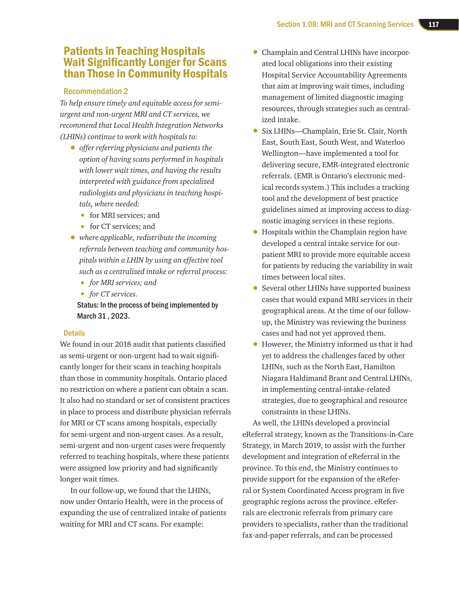## Patients in Teaching Hospitals Wait Significantly Longer for Scans than Those in Community Hospitals

#### Recommendation 2

*To help ensure timely and equitable access for semiurgent and non-urgent MRI and CT services, we recommend that Local Health Integration Networks (LHINs) continue to work with hospitals to:*

- *offer referring physicians and patients the option of having scans performed in hospitals with lower wait times, and having the results interpreted with guidance from specialized radiologists and physicians in teaching hospitals, where needed:*
	- for MRI services: and
	- for CT services; and
- *where applicable, redistribute the incoming referrals between teaching and community hospitals within a LHIN by using an effective tool such as a centralized intake or referral process:*
	- *for MRI services; and*
	- *for CT services.*

Status: In the process of being implemented by March 31 , 2023.

#### **Details**

We found in our 2018 audit that patients classified as semi-urgent or non-urgent had to wait significantly longer for their scans in teaching hospitals than those in community hospitals. Ontario placed no restriction on where a patient can obtain a scan. It also had no standard or set of consistent practices in place to process and distribute physician referrals for MRI or CT scans among hospitals, especially for semi-urgent and non-urgent cases. As a result, semi-urgent and non-urgent cases were frequently referred to teaching hospitals, where these patients were assigned low priority and had significantly longer wait times.

In our follow-up, we found that the LHINs, now under Ontario Health, were in the process of expanding the use of centralized intake of patients waiting for MRI and CT scans. For example:

- Champlain and Central LHINs have incorporated local obligations into their existing Hospital Service Accountability Agreements that aim at improving wait times, including management of limited diagnostic imaging resources, through strategies such as centralized intake.
- Six LHINs—Champlain, Erie St. Clair, North East, South East, South West, and Waterloo Wellington—have implemented a tool for delivering secure, EMR-integrated electronic referrals. (EMR is Ontario's electronic medical records system.) This includes a tracking tool and the development of best practice guidelines aimed at improving access to diagnostic imaging services in these regions.
- Hospitals within the Champlain region have developed a central intake service for outpatient MRI to provide more equitable access for patients by reducing the variability in wait times between local sites.
- Several other LHINs have supported business cases that would expand MRI services in their geographical areas. At the time of our followup, the Ministry was reviewing the business cases and had not yet approved them.
- However, the Ministry informed us that it had yet to address the challenges faced by other LHINs, such as the North East, Hamilton Niagara Haldimand Brant and Central LHINs, in implementing central-intake-related strategies, due to geographical and resource constraints in these LHINs.

As well, the LHINs developed a provincial eReferral strategy, known as the Transitions-in-Care Strategy, in March 2019, to assist with the further development and integration of eReferral in the province. To this end, the Ministry continues to provide support for the expansion of the eReferral or System Coordinated Access program in five geographic regions across the province. eReferrals are electronic referrals from primary care providers to specialists, rather than the traditional fax-and-paper referrals, and can be processed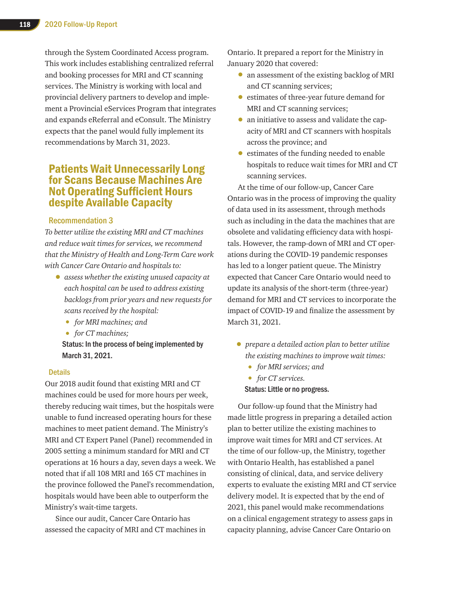through the System Coordinated Access program. This work includes establishing centralized referral and booking processes for MRI and CT scanning services. The Ministry is working with local and provincial delivery partners to develop and implement a Provincial eServices Program that integrates and expands eReferral and eConsult. The Ministry expects that the panel would fully implement its recommendations by March 31, 2023.

## Patients Wait Unnecessarily Long for Scans Because Machines Are Not Operating Sufficient Hours despite Available Capacity

#### Recommendation 3

*To better utilize the existing MRI and CT machines and reduce wait times for services, we recommend that the Ministry of Health and Long-Term Care work with Cancer Care Ontario and hospitals to:*

- *assess whether the existing unused capacity at each hospital can be used to address existing backlogs from prior years and new requests for scans received by the hospital:*
	- *for MRI machines; and*
	- *for CT machines;*
	- Status: In the process of being implemented by March 31, 2021.

#### **Details**

Our 2018 audit found that existing MRI and CT machines could be used for more hours per week, thereby reducing wait times, but the hospitals were unable to fund increased operating hours for these machines to meet patient demand. The Ministry's MRI and CT Expert Panel (Panel) recommended in 2005 setting a minimum standard for MRI and CT operations at 16 hours a day, seven days a week. We noted that if all 108 MRI and 165 CT machines in the province followed the Panel's recommendation, hospitals would have been able to outperform the Ministry's wait-time targets.

Since our audit, Cancer Care Ontario has assessed the capacity of MRI and CT machines in

Ontario. It prepared a report for the Ministry in January 2020 that covered:

- an assessment of the existing backlog of MRI and CT scanning services;
- estimates of three-year future demand for MRI and CT scanning services;
- an initiative to assess and validate the capacity of MRI and CT scanners with hospitals across the province; and
- estimates of the funding needed to enable hospitals to reduce wait times for MRI and CT scanning services.

At the time of our follow-up, Cancer Care Ontario was in the process of improving the quality of data used in its assessment, through methods such as including in the data the machines that are obsolete and validating efficiency data with hospitals. However, the ramp-down of MRI and CT operations during the COVID-19 pandemic responses has led to a longer patient queue. The Ministry expected that Cancer Care Ontario would need to update its analysis of the short-term (three-year) demand for MRI and CT services to incorporate the impact of COVID-19 and finalize the assessment by March 31, 2021.

- *prepare a detailed action plan to better utilize the existing machines to improve wait times:*
	- *for MRI services; and*
	- *for CT services.*

#### Status: Little or no progress.

Our follow-up found that the Ministry had made little progress in preparing a detailed action plan to better utilize the existing machines to improve wait times for MRI and CT services. At the time of our follow-up, the Ministry, together with Ontario Health, has established a panel consisting of clinical, data, and service delivery experts to evaluate the existing MRI and CT service delivery model. It is expected that by the end of 2021, this panel would make recommendations on a clinical engagement strategy to assess gaps in capacity planning, advise Cancer Care Ontario on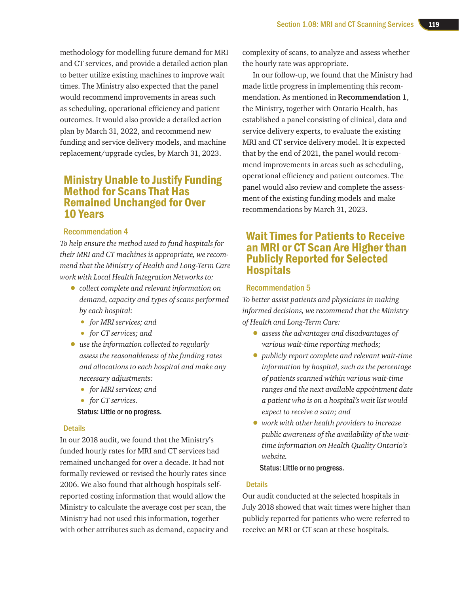methodology for modelling future demand for MRI and CT services, and provide a detailed action plan to better utilize existing machines to improve wait times. The Ministry also expected that the panel would recommend improvements in areas such as scheduling, operational efficiency and patient outcomes. It would also provide a detailed action plan by March 31, 2022, and recommend new funding and service delivery models, and machine replacement/upgrade cycles, by March 31, 2023.

## Ministry Unable to Justify Funding Method for Scans That Has Remained Unchanged for Over 10 Years

#### Recommendation 4

*To help ensure the method used to fund hospitals for their MRI and CT machines is appropriate, we recommend that the Ministry of Health and Long-Term Care work with Local Health Integration Networks to:*

- *collect complete and relevant information on demand, capacity and types of scans performed by each hospital:*
	- *for MRI services; and*
	- *for CT services; and*
- *use the information collected to regularly assess the reasonableness of the funding rates and allocations to each hospital and make any necessary adjustments:*
	- *for MRI services; and*
	- *for CT services.*

#### Status: Little or no progress.

#### Details

In our 2018 audit, we found that the Ministry's funded hourly rates for MRI and CT services had remained unchanged for over a decade. It had not formally reviewed or revised the hourly rates since 2006. We also found that although hospitals selfreported costing information that would allow the Ministry to calculate the average cost per scan, the Ministry had not used this information, together with other attributes such as demand, capacity and complexity of scans, to analyze and assess whether the hourly rate was appropriate.

In our follow-up, we found that the Ministry had made little progress in implementing this recommendation. As mentioned in **Recommendation 1**, the Ministry, together with Ontario Health, has established a panel consisting of clinical, data and service delivery experts, to evaluate the existing MRI and CT service delivery model. It is expected that by the end of 2021, the panel would recommend improvements in areas such as scheduling, operational efficiency and patient outcomes. The panel would also review and complete the assessment of the existing funding models and make recommendations by March 31, 2023.

## Wait Times for Patients to Receive an MRI or CT Scan Are Higher than Publicly Reported for Selected Hospitals

#### Recommendation 5

*To better assist patients and physicians in making informed decisions, we recommend that the Ministry of Health and Long-Term Care:* 

- *assess the advantages and disadvantages of various wait-time reporting methods;*
- *publicly report complete and relevant wait-time information by hospital, such as the percentage of patients scanned within various wait-time ranges and the next available appointment date a patient who is on a hospital's wait list would expect to receive a scan; and*
- *work with other health providers to increase public awareness of the availability of the waittime information on Health Quality Ontario's website.*

#### Status: Little or no progress.

#### **Details**

Our audit conducted at the selected hospitals in July 2018 showed that wait times were higher than publicly reported for patients who were referred to receive an MRI or CT scan at these hospitals.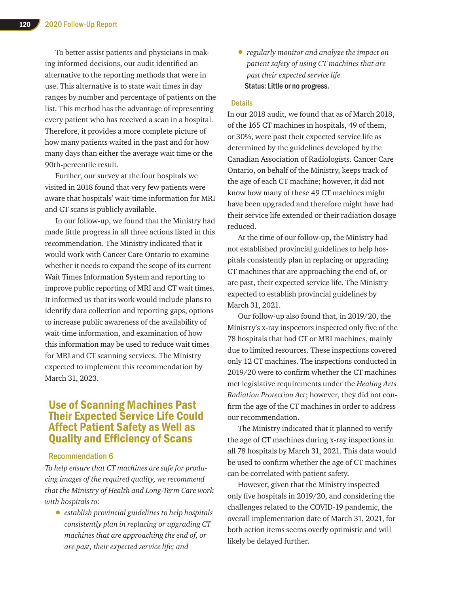To better assist patients and physicians in making informed decisions, our audit identified an alternative to the reporting methods that were in use. This alternative is to state wait times in day ranges by number and percentage of patients on the list. This method has the advantage of representing every patient who has received a scan in a hospital. Therefore, it provides a more complete picture of how many patients waited in the past and for how many days than either the average wait time or the 90th-percentile result.

Further, our survey at the four hospitals we visited in 2018 found that very few patients were aware that hospitals' wait-time information for MRI and CT scans is publicly available.

In our follow-up, we found that the Ministry had made little progress in all three actions listed in this recommendation. The Ministry indicated that it would work with Cancer Care Ontario to examine whether it needs to expand the scope of its current Wait Times Information System and reporting to improve public reporting of MRI and CT wait times. It informed us that its work would include plans to identify data collection and reporting gaps, options to increase public awareness of the availability of wait-time information, and examination of how this information may be used to reduce wait times for MRI and CT scanning services. The Ministry expected to implement this recommendation by March 31, 2023.

## Use of Scanning Machines Past Their Expected Service Life Could Affect Patient Safety as Well as Quality and Efficiency of Scans

#### Recommendation 6

*To help ensure that CT machines are safe for producing images of the required quality, we recommend that the Ministry of Health and Long-Term Care work with hospitals to:* 

• *establish provincial guidelines to help hospitals consistently plan in replacing or upgrading CT machines that are approaching the end of, or are past, their expected service life; and* 

• *regularly monitor and analyze the impact on patient safety of using CT machines that are past their expected service life.* Status: Little or no progress.

#### **Details**

In our 2018 audit, we found that as of March 2018, of the 165 CT machines in hospitals, 49 of them, or 30%, were past their expected service life as determined by the guidelines developed by the Canadian Association of Radiologists. Cancer Care Ontario, on behalf of the Ministry, keeps track of the age of each CT machine; however, it did not know how many of these 49 CT machines might have been upgraded and therefore might have had their service life extended or their radiation dosage reduced.

At the time of our follow-up, the Ministry had not established provincial guidelines to help hospitals consistently plan in replacing or upgrading CT machines that are approaching the end of, or are past, their expected service life. The Ministry expected to establish provincial guidelines by March 31, 2021.

Our follow-up also found that, in 2019/20, the Ministry's x-ray inspectors inspected only five of the 78 hospitals that had CT or MRI machines, mainly due to limited resources. These inspections covered only 12 CT machines. The inspections conducted in 2019/20 were to confirm whether the CT machines met legislative requirements under the *Healing Arts Radiation Protection Act*; however, they did not confirm the age of the CT machines in order to address our recommendation.

The Ministry indicated that it planned to verify the age of CT machines during x-ray inspections in all 78 hospitals by March 31, 2021. This data would be used to confirm whether the age of CT machines can be correlated with patient safety.

However, given that the Ministry inspected only five hospitals in 2019/20, and considering the challenges related to the COVID-19 pandemic, the overall implementation date of March 31, 2021, for both action items seems overly optimistic and will likely be delayed further.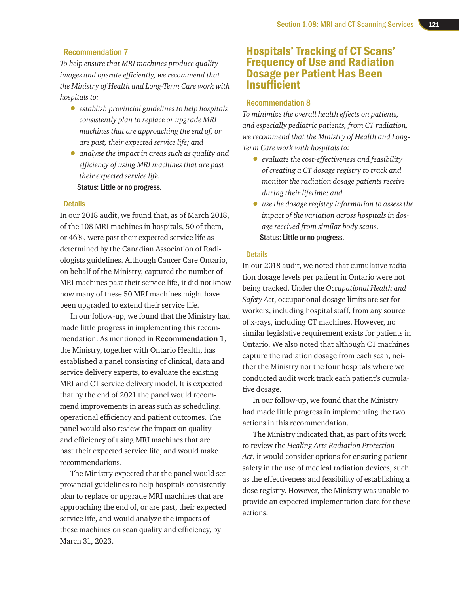#### Recommendation 7

*To help ensure that MRI machines produce quality images and operate efficiently, we recommend that the Ministry of Health and Long-Term Care work with hospitals to:* 

- *establish provincial guidelines to help hospitals consistently plan to replace or upgrade MRI machines that are approaching the end of, or are past, their expected service life; and*
- *analyze the impact in areas such as quality and efficiency of using MRI machines that are past their expected service life.*
	- Status: Little or no progress.

#### **Details**

In our 2018 audit, we found that, as of March 2018, of the 108 MRI machines in hospitals, 50 of them, or 46%, were past their expected service life as determined by the Canadian Association of Radiologists guidelines. Although Cancer Care Ontario, on behalf of the Ministry, captured the number of MRI machines past their service life, it did not know how many of these 50 MRI machines might have been upgraded to extend their service life.

In our follow-up, we found that the Ministry had made little progress in implementing this recommendation. As mentioned in **Recommendation 1**, the Ministry, together with Ontario Health, has established a panel consisting of clinical, data and service delivery experts, to evaluate the existing MRI and CT service delivery model. It is expected that by the end of 2021 the panel would recommend improvements in areas such as scheduling, operational efficiency and patient outcomes. The panel would also review the impact on quality and efficiency of using MRI machines that are past their expected service life, and would make recommendations.

The Ministry expected that the panel would set provincial guidelines to help hospitals consistently plan to replace or upgrade MRI machines that are approaching the end of, or are past, their expected service life, and would analyze the impacts of these machines on scan quality and efficiency, by March 31, 2023.

## Hospitals' Tracking of CT Scans' Frequency of Use and Radiation Dosage per Patient Has Been **Insufficient**

#### Recommendation 8

*To minimize the overall health effects on patients, and especially pediatric patients, from CT radiation, we recommend that the Ministry of Health and Long-Term Care work with hospitals to:* 

- *evaluate the cost-effectiveness and feasibility of creating a CT dosage registry to track and monitor the radiation dosage patients receive during their lifetime; and*
- *use the dosage registry information to assess the impact of the variation across hospitals in dosage received from similar body scans.*  Status: Little or no progress.

#### **Details**

In our 2018 audit, we noted that cumulative radiation dosage levels per patient in Ontario were not being tracked. Under the *Occupational Health and Safety Act*, occupational dosage limits are set for workers, including hospital staff, from any source of x-rays, including CT machines. However, no similar legislative requirement exists for patients in Ontario. We also noted that although CT machines capture the radiation dosage from each scan, neither the Ministry nor the four hospitals where we conducted audit work track each patient's cumulative dosage.

In our follow-up, we found that the Ministry had made little progress in implementing the two actions in this recommendation.

The Ministry indicated that, as part of its work to review the *Healing Arts Radiation Protection Act*, it would consider options for ensuring patient safety in the use of medical radiation devices, such as the effectiveness and feasibility of establishing a dose registry. However, the Ministry was unable to provide an expected implementation date for these actions.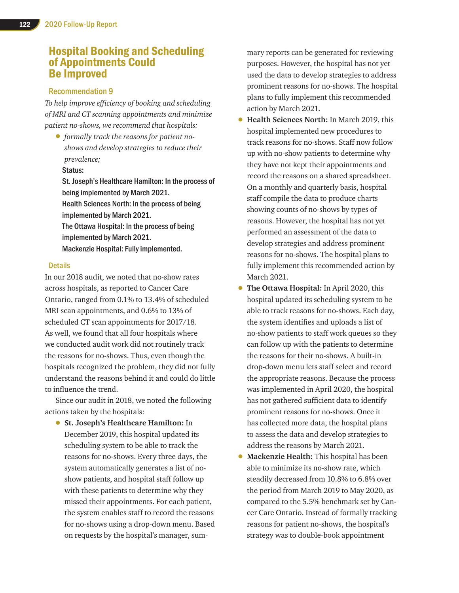## Hospital Booking and Scheduling of Appointments Could Be Improved

#### Recommendation 9

*To help improve efficiency of booking and scheduling of MRI and CT scanning appointments and minimize patient no-shows, we recommend that hospitals:*

• *formally track the reasons for patient noshows and develop strategies to reduce their prevalence;* 

Status:

St. Joseph's Healthcare Hamilton: In the process of being implemented by March 2021.

Health Sciences North: In the process of being implemented by March 2021.

The Ottawa Hospital: In the process of being implemented by March 2021.

Mackenzie Hospital: Fully implemented.

#### **Details**

In our 2018 audit, we noted that no-show rates across hospitals, as reported to Cancer Care Ontario, ranged from 0.1% to 13.4% of scheduled MRI scan appointments, and 0.6% to 13% of scheduled CT scan appointments for 2017/18. As well, we found that all four hospitals where we conducted audit work did not routinely track the reasons for no-shows. Thus, even though the hospitals recognized the problem, they did not fully understand the reasons behind it and could do little to influence the trend.

Since our audit in 2018, we noted the following actions taken by the hospitals:

• **St. Joseph's Healthcare Hamilton:** In December 2019, this hospital updated its scheduling system to be able to track the reasons for no-shows. Every three days, the system automatically generates a list of noshow patients, and hospital staff follow up with these patients to determine why they missed their appointments. For each patient, the system enables staff to record the reasons for no-shows using a drop-down menu. Based on requests by the hospital's manager, sum-

mary reports can be generated for reviewing purposes. However, the hospital has not yet used the data to develop strategies to address prominent reasons for no-shows. The hospital plans to fully implement this recommended action by March 2021.

- **Health Sciences North:** In March 2019, this hospital implemented new procedures to track reasons for no-shows. Staff now follow up with no-show patients to determine why they have not kept their appointments and record the reasons on a shared spreadsheet. On a monthly and quarterly basis, hospital staff compile the data to produce charts showing counts of no-shows by types of reasons. However, the hospital has not yet performed an assessment of the data to develop strategies and address prominent reasons for no-shows. The hospital plans to fully implement this recommended action by March 2021.
- **The Ottawa Hospital:** In April 2020, this hospital updated its scheduling system to be able to track reasons for no-shows. Each day, the system identifies and uploads a list of no-show patients to staff work queues so they can follow up with the patients to determine the reasons for their no-shows. A built-in drop-down menu lets staff select and record the appropriate reasons. Because the process was implemented in April 2020, the hospital has not gathered sufficient data to identify prominent reasons for no-shows. Once it has collected more data, the hospital plans to assess the data and develop strategies to address the reasons by March 2021.
- **Mackenzie Health:** This hospital has been able to minimize its no-show rate, which steadily decreased from 10.8% to 6.8% over the period from March 2019 to May 2020, as compared to the 5.5% benchmark set by Cancer Care Ontario. Instead of formally tracking reasons for patient no-shows, the hospital's strategy was to double-book appointment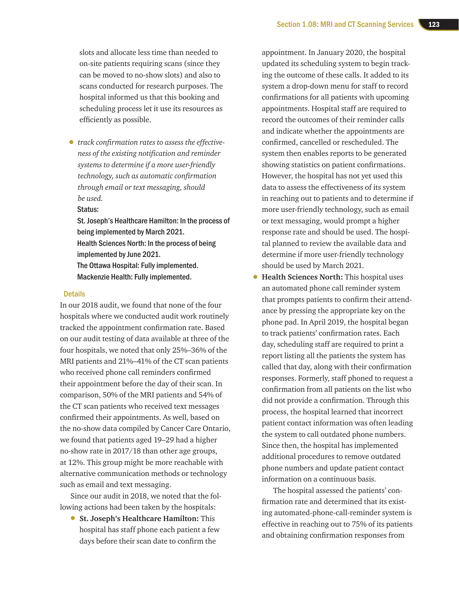slots and allocate less time than needed to on-site patients requiring scans (since they can be moved to no-show slots) and also to scans conducted for research purposes. The hospital informed us that this booking and scheduling process let it use its resources as efficiently as possible.

• *track confirmation rates to assess the effectiveness of the existing notification and reminder systems to determine if a more user-friendly technology, such as automatic confirmation through email or text messaging, should be used.*

Status:

St. Joseph's Healthcare Hamilton: In the process of being implemented by March 2021. Health Sciences North: In the process of being

implemented by June 2021. The Ottawa Hospital: Fully implemented.

Mackenzie Health: Fully implemented.

#### **Details**

In our 2018 audit, we found that none of the four hospitals where we conducted audit work routinely tracked the appointment confirmation rate. Based on our audit testing of data available at three of the four hospitals, we noted that only 25%–36% of the MRI patients and 21%–41% of the CT scan patients who received phone call reminders confirmed their appointment before the day of their scan. In comparison, 50% of the MRI patients and 54% of the CT scan patients who received text messages confirmed their appointments. As well, based on the no-show data compiled by Cancer Care Ontario, we found that patients aged 19–29 had a higher no-show rate in 2017/18 than other age groups, at 12%. This group might be more reachable with alternative communication methods or technology such as email and text messaging.

Since our audit in 2018, we noted that the following actions had been taken by the hospitals:

• **St. Joseph's Healthcare Hamilton:** This hospital has staff phone each patient a few days before their scan date to confirm the

appointment. In January 2020, the hospital updated its scheduling system to begin tracking the outcome of these calls. It added to its system a drop-down menu for staff to record confirmations for all patients with upcoming appointments. Hospital staff are required to record the outcomes of their reminder calls and indicate whether the appointments are confirmed, cancelled or rescheduled. The system then enables reports to be generated showing statistics on patient confirmations. However, the hospital has not yet used this data to assess the effectiveness of its system in reaching out to patients and to determine if more user-friendly technology, such as email or text messaging, would prompt a higher response rate and should be used. The hospital planned to review the available data and determine if more user-friendly technology should be used by March 2021.

• **Health Sciences North:** This hospital uses an automated phone call reminder system that prompts patients to confirm their attendance by pressing the appropriate key on the phone pad. In April 2019, the hospital began to track patients' confirmation rates. Each day, scheduling staff are required to print a report listing all the patients the system has called that day, along with their confirmation responses. Formerly, staff phoned to request a confirmation from all patients on the list who did not provide a confirmation. Through this process, the hospital learned that incorrect patient contact information was often leading the system to call outdated phone numbers. Since then, the hospital has implemented additional procedures to remove outdated phone numbers and update patient contact information on a continuous basis.

The hospital assessed the patients' confirmation rate and determined that its existing automated-phone-call-reminder system is effective in reaching out to 75% of its patients and obtaining confirmation responses from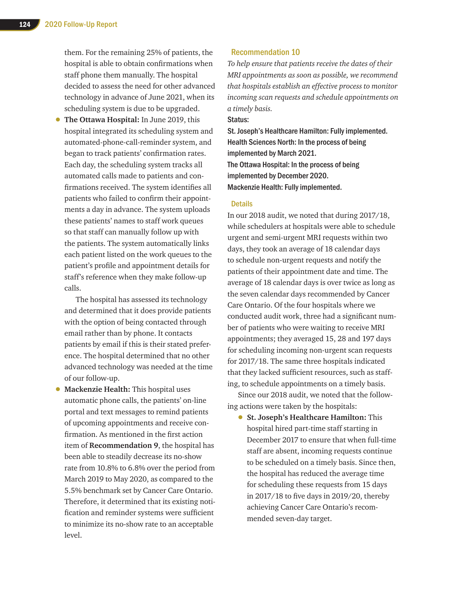them. For the remaining 25% of patients, the hospital is able to obtain confirmations when staff phone them manually. The hospital decided to assess the need for other advanced technology in advance of June 2021, when its scheduling system is due to be upgraded.

• **The Ottawa Hospital:** In June 2019, this hospital integrated its scheduling system and automated-phone-call-reminder system, and began to track patients' confirmation rates. Each day, the scheduling system tracks all automated calls made to patients and confirmations received. The system identifies all patients who failed to confirm their appointments a day in advance. The system uploads these patients' names to staff work queues so that staff can manually follow up with the patients. The system automatically links each patient listed on the work queues to the patient's profile and appointment details for staff's reference when they make follow-up calls.

The hospital has assessed its technology and determined that it does provide patients with the option of being contacted through email rather than by phone. It contacts patients by email if this is their stated preference. The hospital determined that no other advanced technology was needed at the time of our follow-up.

• **Mackenzie Health:** This hospital uses automatic phone calls, the patients' on-line portal and text messages to remind patients of upcoming appointments and receive confirmation. As mentioned in the first action item of **Recommendation 9**, the hospital has been able to steadily decrease its no-show rate from 10.8% to 6.8% over the period from March 2019 to May 2020, as compared to the 5.5% benchmark set by Cancer Care Ontario. Therefore, it determined that its existing notification and reminder systems were sufficient to minimize its no-show rate to an acceptable level.

#### Recommendation 10

*To help ensure that patients receive the dates of their MRI appointments as soon as possible, we recommend that hospitals establish an effective process to monitor incoming scan requests and schedule appointments on a timely basis.* 

St. Joseph's Healthcare Hamilton: Fully implemented. Health Sciences North: In the process of being implemented by March 2021. The Ottawa Hospital: In the process of being implemented by December 2020. Mackenzie Health: Fully implemented.

#### **Details**

Status:

In our 2018 audit, we noted that during 2017/18, while schedulers at hospitals were able to schedule urgent and semi-urgent MRI requests within two days, they took an average of 18 calendar days to schedule non-urgent requests and notify the patients of their appointment date and time. The average of 18 calendar days is over twice as long as the seven calendar days recommended by Cancer Care Ontario. Of the four hospitals where we conducted audit work, three had a significant number of patients who were waiting to receive MRI appointments; they averaged 15, 28 and 197 days for scheduling incoming non-urgent scan requests for 2017/18. The same three hospitals indicated that they lacked sufficient resources, such as staffing, to schedule appointments on a timely basis.

Since our 2018 audit, we noted that the following actions were taken by the hospitals:

• **St. Joseph's Healthcare Hamilton:** This hospital hired part-time staff starting in December 2017 to ensure that when full-time staff are absent, incoming requests continue to be scheduled on a timely basis. Since then, the hospital has reduced the average time for scheduling these requests from 15 days in 2017/18 to five days in 2019/20, thereby achieving Cancer Care Ontario's recommended seven-day target.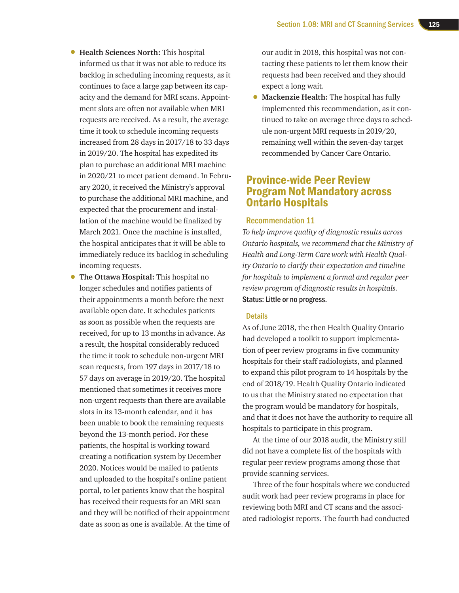- **Health Sciences North:** This hospital informed us that it was not able to reduce its backlog in scheduling incoming requests, as it continues to face a large gap between its capacity and the demand for MRI scans. Appointment slots are often not available when MRI requests are received. As a result, the average time it took to schedule incoming requests increased from 28 days in 2017/18 to 33 days in 2019/20. The hospital has expedited its plan to purchase an additional MRI machine in 2020/21 to meet patient demand. In February 2020, it received the Ministry's approval to purchase the additional MRI machine, and expected that the procurement and installation of the machine would be finalized by March 2021. Once the machine is installed, the hospital anticipates that it will be able to immediately reduce its backlog in scheduling incoming requests.
- **The Ottawa Hospital:** This hospital no longer schedules and notifies patients of their appointments a month before the next available open date. It schedules patients as soon as possible when the requests are received, for up to 13 months in advance. As a result, the hospital considerably reduced the time it took to schedule non-urgent MRI scan requests, from 197 days in 2017/18 to 57 days on average in 2019/20. The hospital mentioned that sometimes it receives more non-urgent requests than there are available slots in its 13-month calendar, and it has been unable to book the remaining requests beyond the 13-month period. For these patients, the hospital is working toward creating a notification system by December 2020. Notices would be mailed to patients and uploaded to the hospital's online patient portal, to let patients know that the hospital has received their requests for an MRI scan and they will be notified of their appointment date as soon as one is available. At the time of

our audit in 2018, this hospital was not contacting these patients to let them know their requests had been received and they should expect a long wait.

• **Mackenzie Health:** The hospital has fully implemented this recommendation, as it continued to take on average three days to schedule non-urgent MRI requests in 2019/20, remaining well within the seven-day target recommended by Cancer Care Ontario.

## Province-wide Peer Review Program Not Mandatory across Ontario Hospitals

#### Recommendation 11

*To help improve quality of diagnostic results across Ontario hospitals, we recommend that the Ministry of Health and Long-Term Care work with Health Quality Ontario to clarify their expectation and timeline for hospitals to implement a formal and regular peer review program of diagnostic results in hospitals.*  Status: Little or no progress.

#### **Details**

As of June 2018, the then Health Quality Ontario had developed a toolkit to support implementation of peer review programs in five community hospitals for their staff radiologists, and planned to expand this pilot program to 14 hospitals by the end of 2018/19. Health Quality Ontario indicated to us that the Ministry stated no expectation that the program would be mandatory for hospitals, and that it does not have the authority to require all hospitals to participate in this program.

At the time of our 2018 audit, the Ministry still did not have a complete list of the hospitals with regular peer review programs among those that provide scanning services.

Three of the four hospitals where we conducted audit work had peer review programs in place for reviewing both MRI and CT scans and the associated radiologist reports. The fourth had conducted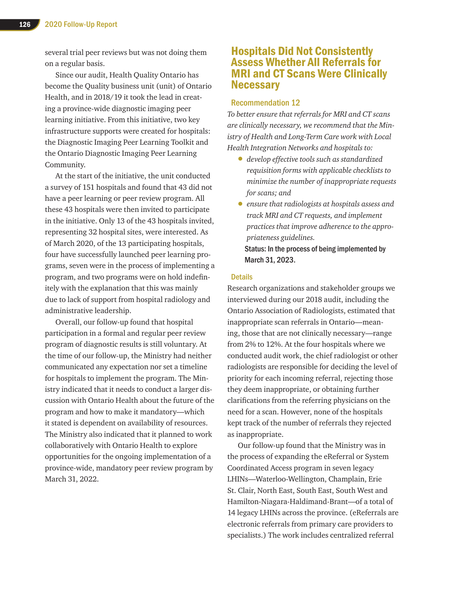several trial peer reviews but was not doing them on a regular basis.

Since our audit, Health Quality Ontario has become the Quality business unit (unit) of Ontario Health, and in 2018/19 it took the lead in creating a province-wide diagnostic imaging peer learning initiative. From this initiative, two key infrastructure supports were created for hospitals: the Diagnostic Imaging Peer Learning Toolkit and the Ontario Diagnostic Imaging Peer Learning Community.

At the start of the initiative, the unit conducted a survey of 151 hospitals and found that 43 did not have a peer learning or peer review program. All these 43 hospitals were then invited to participate in the initiative. Only 13 of the 43 hospitals invited, representing 32 hospital sites, were interested. As of March 2020, of the 13 participating hospitals, four have successfully launched peer learning programs, seven were in the process of implementing a program, and two programs were on hold indefinitely with the explanation that this was mainly due to lack of support from hospital radiology and administrative leadership.

Overall, our follow-up found that hospital participation in a formal and regular peer review program of diagnostic results is still voluntary. At the time of our follow-up, the Ministry had neither communicated any expectation nor set a timeline for hospitals to implement the program. The Ministry indicated that it needs to conduct a larger discussion with Ontario Health about the future of the program and how to make it mandatory—which it stated is dependent on availability of resources. The Ministry also indicated that it planned to work collaboratively with Ontario Health to explore opportunities for the ongoing implementation of a province-wide, mandatory peer review program by March 31, 2022.

## Hospitals Did Not Consistently Assess Whether All Referrals for MRI and CT Scans Were Clinically **Necessary**

#### Recommendation 12

*To better ensure that referrals for MRI and CT scans are clinically necessary, we recommend that the Ministry of Health and Long-Term Care work with Local Health Integration Networks and hospitals to:* 

- *develop effective tools such as standardized requisition forms with applicable checklists to minimize the number of inappropriate requests for scans; and*
- *ensure that radiologists at hospitals assess and track MRI and CT requests, and implement practices that improve adherence to the appropriateness guidelines.*

Status: In the process of being implemented by March 31, 2023.

#### **Details**

Research organizations and stakeholder groups we interviewed during our 2018 audit, including the Ontario Association of Radiologists, estimated that inappropriate scan referrals in Ontario—meaning, those that are not clinically necessary—range from 2% to 12%. At the four hospitals where we conducted audit work, the chief radiologist or other radiologists are responsible for deciding the level of priority for each incoming referral, rejecting those they deem inappropriate, or obtaining further clarifications from the referring physicians on the need for a scan. However, none of the hospitals kept track of the number of referrals they rejected as inappropriate.

Our follow-up found that the Ministry was in the process of expanding the eReferral or System Coordinated Access program in seven legacy LHINs—Waterloo-Wellington, Champlain, Erie St. Clair, North East, South East, South West and Hamilton-Niagara-Haldimand-Brant—of a total of 14 legacy LHINs across the province. (eReferrals are electronic referrals from primary care providers to specialists.) The work includes centralized referral